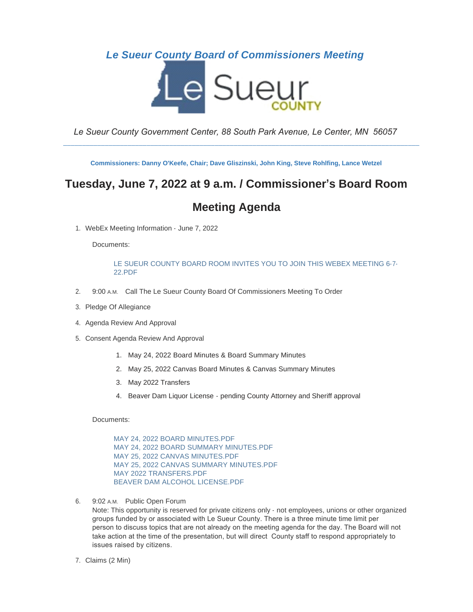# *Le Sueur County Board of Commissioners Meeting*



*Le Sueur County Government Center, 88 South Park Avenue, Le Center, MN 56057*

\_\_\_\_\_\_\_\_\_\_\_\_\_\_\_\_\_\_\_\_\_\_\_\_\_\_\_\_\_\_\_\_\_\_\_\_\_\_\_\_\_\_\_\_\_\_\_\_\_\_\_\_\_\_\_\_\_\_\_\_\_\_\_\_\_\_\_\_\_\_\_\_\_\_\_\_\_\_\_\_\_\_\_\_\_\_\_\_\_\_\_\_\_\_

**Commissioners: Danny O'Keefe, Chair; Dave Gliszinski, John King, Steve Rohlfing, Lance Wetzel**

# **Tuesday, June 7, 2022 at 9 a.m. / Commissioner's Board Room**

# **Meeting Agenda**

WebEx Meeting Information - June 7, 2022 1.

Documents:

[LE SUEUR COUNTY BOARD ROOM INVITES YOU TO JOIN THIS WEBEX MEETING 6-7-](https://www.co.le-sueur.mn.us/AgendaCenter/ViewFile/Item/3568?fileID=4196) 22.PDF

- 2. 9:00 A.M. Call The Le Sueur County Board Of Commissioners Meeting To Order
- 3. Pledge Of Allegiance
- 4. Agenda Review And Approval
- 5. Consent Agenda Review And Approval
	- 1. May 24, 2022 Board Minutes & Board Summary Minutes
	- 2. May 25, 2022 Canvas Board Minutes & Canvas Summary Minutes
	- 3. May 2022 Transfers
	- 4. Beaver Dam Liquor License pending County Attorney and Sheriff approval

Documents:

[MAY 24, 2022 BOARD MINUTES.PDF](https://www.co.le-sueur.mn.us/AgendaCenter/ViewFile/Item/3273?fileID=4346) [MAY 24, 2022 BOARD SUMMARY MINUTES.PDF](https://www.co.le-sueur.mn.us/AgendaCenter/ViewFile/Item/3273?fileID=4347) [MAY 25, 2022 CANVAS MINUTES.PDF](https://www.co.le-sueur.mn.us/AgendaCenter/ViewFile/Item/3273?fileID=4352) [MAY 25, 2022 CANVAS SUMMARY MINUTES.PDF](https://www.co.le-sueur.mn.us/AgendaCenter/ViewFile/Item/3273?fileID=4353) [MAY 2022 TRANSFERS.PDF](https://www.co.le-sueur.mn.us/AgendaCenter/ViewFile/Item/3273?fileID=4362) [BEAVER DAM ALCOHOL LICENSE.PDF](https://www.co.le-sueur.mn.us/AgendaCenter/ViewFile/Item/3273?fileID=4374)

6. 9:02 A.M. Public Open Forum

Note: This opportunity is reserved for private citizens only - not employees, unions or other organized groups funded by or associated with Le Sueur County. There is a three minute time limit per person to discuss topics that are not already on the meeting agenda for the day. The Board will not take action at the time of the presentation, but will direct County staff to respond appropriately to issues raised by citizens.

7. Claims (2 Min)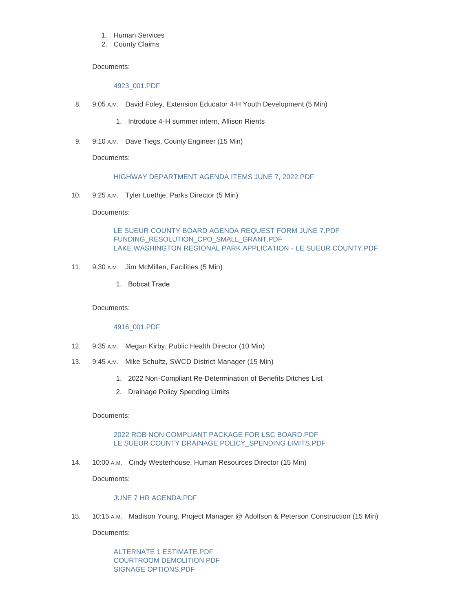- 1. Human Services
- 2. County Claims

#### Documents:

#### [4923\\_001.PDF](https://www.co.le-sueur.mn.us/AgendaCenter/ViewFile/Item/3528?fileID=4366)

- 8. 9:05 A.M. David Foley, Extension Educator 4-H Youth Development (5 Min)
	- 1. Introduce 4-H summer intern, Allison Rients
- 9. 9:10 A.M. Dave Tiegs, County Engineer (15 Min)

Documents:

### [HIGHWAY DEPARTMENT AGENDA ITEMS JUNE 7, 2022.PDF](https://www.co.le-sueur.mn.us/AgendaCenter/ViewFile/Item/3530?fileID=4365)

10. 9:25 A.M. Tyler Luethje, Parks Director (5 Min)

Documents:

[LE SUEUR COUNTY BOARD AGENDA REQUEST FORM JUNE 7.PDF](https://www.co.le-sueur.mn.us/AgendaCenter/ViewFile/Item/3838?fileID=4349) [FUNDING\\_RESOLUTION\\_CPO\\_SMALL\\_GRANT.PDF](https://www.co.le-sueur.mn.us/AgendaCenter/ViewFile/Item/3838?fileID=4350) [LAKE WASHINGTON REGIONAL PARK APPLICATION - LE SUEUR COUNTY.PDF](https://www.co.le-sueur.mn.us/AgendaCenter/ViewFile/Item/3838?fileID=4351)

- 11. 9:30 A.M. Jim McMillen, Facilities (5 Min)
	- 1. Bobcat Trade

Documents:

#### [4916\\_001.PDF](https://www.co.le-sueur.mn.us/AgendaCenter/ViewFile/Item/3840?fileID=4363)

- 12. 9:35 A.M. Megan Kirby, Public Health Director (10 Min)
- 13. 9:45 A.M. Mike Schultz, SWCD District Manager (15 Min)
	- 1. 2022 Non-Compliant Re-Determination of Benefits Ditches List
	- 2. Drainage Policy Spending Limits

Documents:

[2022 ROB NON COMPLIANT PACKAGE FOR LSC BOARD.PDF](https://www.co.le-sueur.mn.us/AgendaCenter/ViewFile/Item/3854?fileID=4364) LE SUEUR COUNTY DRAINAGE POLICY SPENDING LIMITS.PDF

14. 10:00 A.M. Cindy Westerhouse, Human Resources Director (15 Min)

Documents:

## [JUNE 7 HR AGENDA.PDF](https://www.co.le-sueur.mn.us/AgendaCenter/ViewFile/Item/3275?fileID=4375)

15. 10:15 A.M. Madison Young, Project Manager @ Adolfson & Peterson Construction (15 Min)

Documents:

[ALTERNATE 1 ESTIMATE.PDF](https://www.co.le-sueur.mn.us/AgendaCenter/ViewFile/Item/3856?fileID=4371) [COURTROOM DEMOLITION.PDF](https://www.co.le-sueur.mn.us/AgendaCenter/ViewFile/Item/3856?fileID=4372) [SIGNAGE OPTIONS.PDF](https://www.co.le-sueur.mn.us/AgendaCenter/ViewFile/Item/3856?fileID=4373)